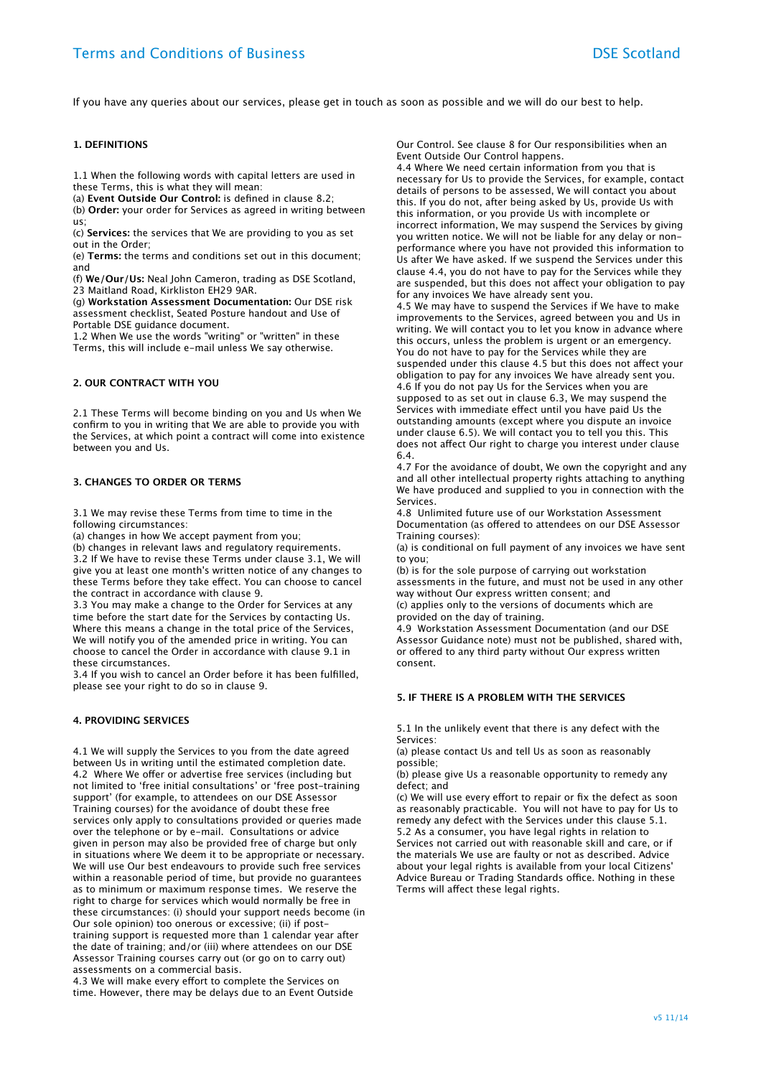If you have any queries about our services, please get in touch as soon as possible and we will do our best to help.

#### **1. DEFINITIONS**

1.1 When the following words with capital letters are used in these Terms, this is what they will mean:

(a) **Event Outside Our Control:** is defined in clause 8.2;

(b) **Order:** your order for Services as agreed in writing between us;

(c) **Services:** the services that We are providing to you as set out in the Order;

(e) **Terms:** the terms and conditions set out in this document; and

(f) **We/Our/Us:** Neal John Cameron, trading as DSE Scotland, 23 Maitland Road, Kirkliston EH29 9AR.

(g) **Workstation Assessment Documentation:** Our DSE risk assessment checklist, Seated Posture handout and Use of Portable DSE guidance document.

1.2 When We use the words "writing" or "written" in these Terms, this will include e-mail unless We say otherwise.

#### **2. OUR CONTRACT WITH YOU**

2.1 These Terms will become binding on you and Us when We confirm to you in writing that We are able to provide you with the Services, at which point a contract will come into existence between you and Us.

# **3. CHANGES TO ORDER OR TERMS**

3.1 We may revise these Terms from time to time in the following circumstances:

(a) changes in how We accept payment from you;

(b) changes in relevant laws and regulatory requirements. 3.2 If We have to revise these Terms under clause 3.1, We will give you at least one month's written notice of any changes to these Terms before they take efect. You can choose to cancel the contract in accordance with clause 9.

3.3 You may make a change to the Order for Services at any time before the start date for the Services by contacting Us. Where this means a change in the total price of the Services, We will notify you of the amended price in writing. You can choose to cancel the Order in accordance with clause 9.1 in these circumstances.

3.4 If you wish to cancel an Order before it has been fulfilled, please see your right to do so in clause 9.

## **4. PROVIDING SERVICES**

4.1 We will supply the Services to you from the date agreed between Us in writing until the estimated completion date. 4.2 Where We offer or advertise free services (including but not limited to 'free initial consultations' or 'free post-training support' (for example, to attendees on our DSE Assessor Training courses) for the avoidance of doubt these free services only apply to consultations provided or queries made over the telephone or by e-mail. Consultations or advice given in person may also be provided free of charge but only in situations where We deem it to be appropriate or necessary. We will use Our best endeavours to provide such free services within a reasonable period of time, but provide no guarantees as to minimum or maximum response times. We reserve the right to charge for services which would normally be free in these circumstances: (i) should your support needs become (in Our sole opinion) too onerous or excessive; (ii) if posttraining support is requested more than 1 calendar year after the date of training; and/or (iii) where attendees on our DSE Assessor Training courses carry out (or go on to carry out) assessments on a commercial basis.

4.3 We will make every effort to complete the Services on time. However, there may be delays due to an Event Outside Our Control. See clause 8 for Our responsibilities when an Event Outside Our Control happens.

4.4 Where We need certain information from you that is necessary for Us to provide the Services, for example, contact details of persons to be assessed, We will contact you about this. If you do not, after being asked by Us, provide Us with this information, or you provide Us with incomplete or incorrect information, We may suspend the Services by giving you written notice. We will not be liable for any delay or nonperformance where you have not provided this information to Us after We have asked. If we suspend the Services under this clause 4.4, you do not have to pay for the Services while they are suspended, but this does not afect your obligation to pay for any invoices We have already sent you.

4.5 We may have to suspend the Services if We have to make improvements to the Services, agreed between you and Us in writing. We will contact you to let you know in advance where this occurs, unless the problem is urgent or an emergency. You do not have to pay for the Services while they are suspended under this clause 4.5 but this does not afect your obligation to pay for any invoices We have already sent you. 4.6 If you do not pay Us for the Services when you are supposed to as set out in clause 6.3, We may suspend the Services with immediate efect until you have paid Us the outstanding amounts (except where you dispute an invoice under clause 6.5). We will contact you to tell you this. This does not afect Our right to charge you interest under clause 6.4.

4.7 For the avoidance of doubt, We own the copyright and any and all other intellectual property rights attaching to anything We have produced and supplied to you in connection with the Services.

4.8 Unlimited future use of our Workstation Assessment Documentation (as ofered to attendees on our DSE Assessor Training courses):

(a) is conditional on full payment of any invoices we have sent to you;

(b) is for the sole purpose of carrying out workstation assessments in the future, and must not be used in any other way without Our express written consent; and (c) applies only to the versions of documents which are

provided on the day of training.

4.9 Workstation Assessment Documentation (and our DSE Assessor Guidance note) must not be published, shared with, or offered to any third party without Our express written consent.

#### **5. IF THERE IS A PROBLEM WITH THE SERVICES**

5.1 In the unlikely event that there is any defect with the Services:

(a) please contact Us and tell Us as soon as reasonably possible;

(b) please give Us a reasonable opportunity to remedy any defect; and

(c) We will use every effort to repair or fix the defect as soon as reasonably practicable. You will not have to pay for Us to remedy any defect with the Services under this clause 5.1. 5.2 As a consumer, you have legal rights in relation to Services not carried out with reasonable skill and care, or if the materials We use are faulty or not as described. Advice about your legal rights is available from your local Citizens' Advice Bureau or Trading Standards office. Nothing in these Terms will afect these legal rights.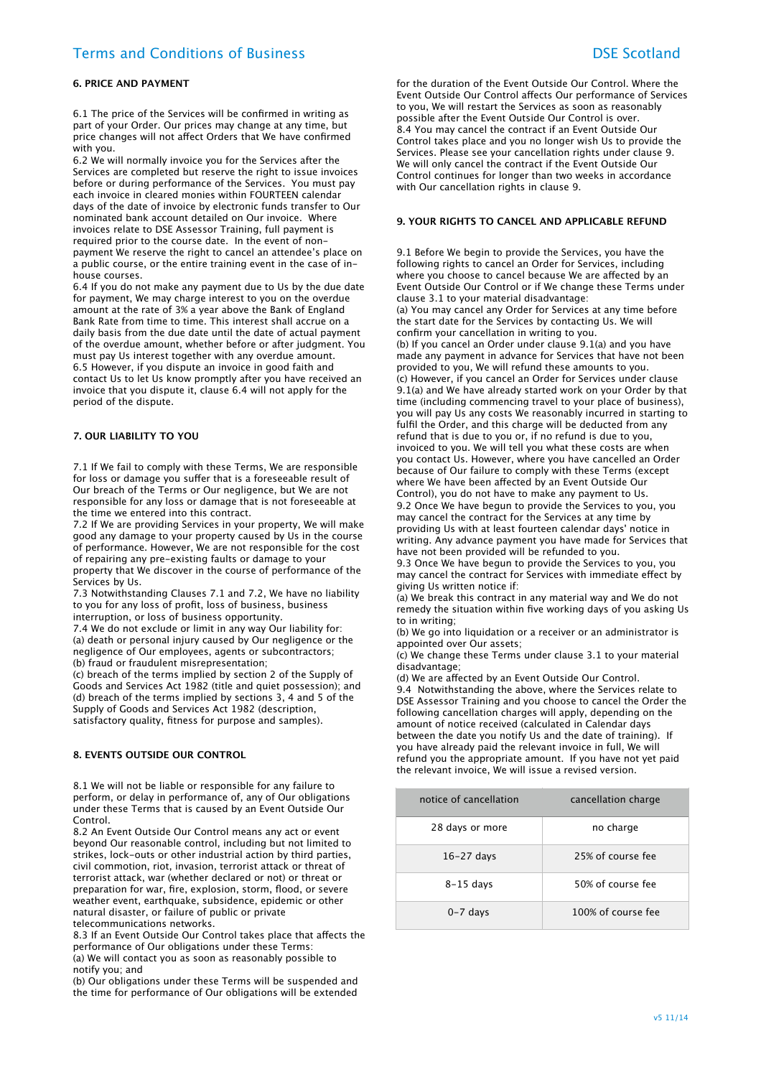# Terms and Conditions of Business DSE Scotland

## **6. PRICE AND PAYMENT**

6.1 The price of the Services will be confirmed in writing as part of your Order. Our prices may change at any time, but price changes will not afect Orders that We have confirmed with you.

6.2 We will normally invoice you for the Services after the Services are completed but reserve the right to issue invoices before or during performance of the Services. You must pay each invoice in cleared monies within FOURTEEN calendar days of the date of invoice by electronic funds transfer to Our nominated bank account detailed on Our invoice. Where invoices relate to DSE Assessor Training, full payment is required prior to the course date. In the event of nonpayment We reserve the right to cancel an attendee's place on a public course, or the entire training event in the case of inhouse courses.

6.4 If you do not make any payment due to Us by the due date for payment, We may charge interest to you on the overdue amount at the rate of 3% a year above the Bank of England Bank Rate from time to time. This interest shall accrue on a daily basis from the due date until the date of actual payment of the overdue amount, whether before or after judgment. You must pay Us interest together with any overdue amount. 6.5 However, if you dispute an invoice in good faith and contact Us to let Us know promptly after you have received an invoice that you dispute it, clause 6.4 will not apply for the period of the dispute.

#### **7. OUR LIABILITY TO YOU**

7.1 If We fail to comply with these Terms, We are responsible for loss or damage you sufer that is a foreseeable result of Our breach of the Terms or Our negligence, but We are not responsible for any loss or damage that is not foreseeable at the time we entered into this contract.

7.2 If We are providing Services in your property, We will make good any damage to your property caused by Us in the course of performance. However, We are not responsible for the cost of repairing any pre-existing faults or damage to your property that We discover in the course of performance of the

.<br>Services by Us. 7.3 Notwithstanding Clauses 7.1 and 7.2, We have no liability

to you for any loss of profit, loss of business, business interruption, or loss of business opportunity.

7.4 We do not exclude or limit in any way Our liability for: (a) death or personal injury caused by Our negligence or the negligence of Our employees, agents or subcontractors; (b) fraud or fraudulent misrepresentation;

(c) breach of the terms implied by section 2 of the Supply of Goods and Services Act 1982 (title and quiet possession); and (d) breach of the terms implied by sections 3, 4 and 5 of the Supply of Goods and Services Act 1982 (description, satisfactory quality, fitness for purpose and samples).

#### **8. EVENTS OUTSIDE OUR CONTROL**

8.1 We will not be liable or responsible for any failure to perform, or delay in performance of, any of Our obligations under these Terms that is caused by an Event Outside Our Control.

8.2 An Event Outside Our Control means any act or event beyond Our reasonable control, including but not limited to strikes, lock-outs or other industrial action by third parties, civil commotion, riot, invasion, terrorist attack or threat of terrorist attack, war (whether declared or not) or threat or preparation for war, fire, explosion, storm, flood, or severe weather event, earthquake, subsidence, epidemic or other natural disaster, or failure of public or private telecommunications networks.

8.3 If an Event Outside Our Control takes place that afects the performance of Our obligations under these Terms: (a) We will contact you as soon as reasonably possible to notify you; and

(b) Our obligations under these Terms will be suspended and the time for performance of Our obligations will be extended

for the duration of the Event Outside Our Control. Where the Event Outside Our Control afects Our performance of Services to you, We will restart the Services as soon as reasonably possible after the Event Outside Our Control is over. 8.4 You may cancel the contract if an Event Outside Our Control takes place and you no longer wish Us to provide the Services. Please see your cancellation rights under clause 9. We will only cancel the contract if the Event Outside Our Control continues for longer than two weeks in accordance with Our cancellation rights in clause 9.

# **9. YOUR RIGHTS TO CANCEL AND APPLICABLE REFUND**

9.1 Before We begin to provide the Services, you have the following rights to cancel an Order for Services, including where you choose to cancel because We are afected by an Event Outside Our Control or if We change these Terms under clause 3.1 to your material disadvantage: (a) You may cancel any Order for Services at any time before the start date for the Services by contacting Us. We will confirm your cancellation in writing to you. (b) If you cancel an Order under clause 9.1(a) and you have made any payment in advance for Services that have not been provided to you, We will refund these amounts to you. (c) However, if you cancel an Order for Services under clause 9.1(a) and We have already started work on your Order by that time (including commencing travel to your place of business), you will pay Us any costs We reasonably incurred in starting to fulfil the Order, and this charge will be deducted from any refund that is due to you or, if no refund is due to you, invoiced to you. We will tell you what these costs are when you contact Us. However, where you have cancelled an Order because of Our failure to comply with these Terms (except where We have been affected by an Event Outside Our Control), you do not have to make any payment to Us. 9.2 Once We have begun to provide the Services to you, you may cancel the contract for the Services at any time by providing Us with at least fourteen calendar days' notice in writing. Any advance payment you have made for Services that have not been provided will be refunded to you.

9.3 Once We have begun to provide the Services to you, you may cancel the contract for Services with immediate efect by giving Us written notice if:

(a) We break this contract in any material way and We do not remedy the situation within five working days of you asking Us to in writing;

(b) We go into liquidation or a receiver or an administrator is appointed over Our assets;

(c) We change these Terms under clause 3.1 to your material disadvantage;

(d) We are afected by an Event Outside Our Control. 9.4 Notwithstanding the above, where the Services relate to DSE Assessor Training and you choose to cancel the Order the following cancellation charges will apply, depending on the amount of notice received (calculated in Calendar days between the date you notify Us and the date of training). If you have already paid the relevant invoice in full, We will refund you the appropriate amount. If you have not yet paid the relevant invoice, We will issue a revised version.

| notice of cancellation | cancellation charge |
|------------------------|---------------------|
| 28 days or more        | no charge           |
| $16-27$ days           | 25% of course fee   |
| $8-15$ days            | 50% of course fee   |
| $0 - 7$ days           | 100% of course fee  |